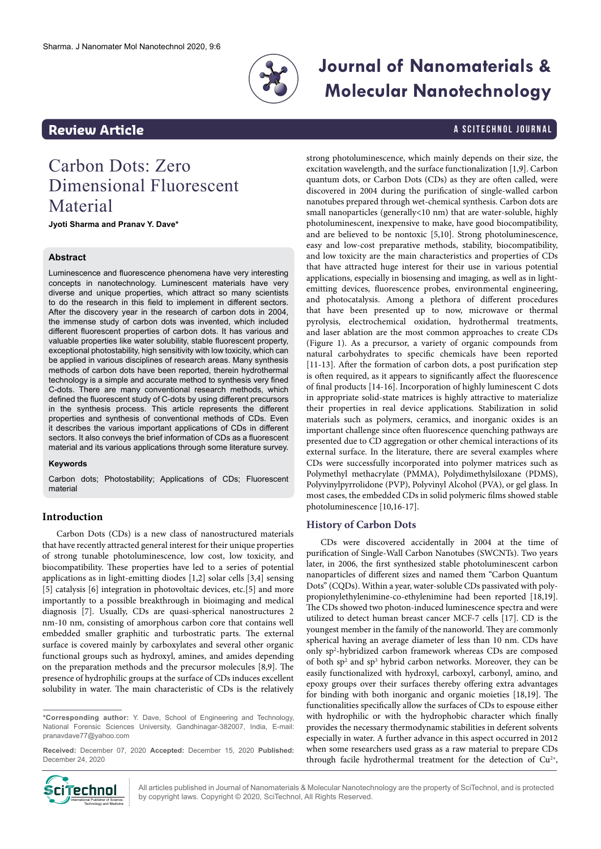

# **Journal of Nanomaterials & Molecular Nanotechnology**

# **Review Article A SCITECHNOL JOURNAL**

# Carbon Dots: Zero Dimensional Fluorescent Material

**Jyoti Sharma and Pranav Y. Dave\***

## **Abstract**

Luminescence and fluorescence phenomena have very interesting concepts in nanotechnology. Luminescent materials have very diverse and unique properties, which attract so many scientists to do the research in this field to implement in different sectors. After the discovery year in the research of carbon dots in 2004, the immense study of carbon dots was invented, which included different fluorescent properties of carbon dots. It has various and valuable properties like water solubility, stable fluorescent property, exceptional photostability, high sensitivity with low toxicity, which can be applied in various disciplines of research areas. Many synthesis methods of carbon dots have been reported, therein hydrothermal technology is a simple and accurate method to synthesis very fined C-dots. There are many conventional research methods, which defined the fluorescent study of C-dots by using different precursors in the synthesis process. This article represents the different properties and synthesis of conventional methods of CDs. Even it describes the various important applications of CDs in different sectors. It also conveys the brief information of CDs as a fluorescent material and its various applications through some literature survey.

#### **Keywords**

Carbon dots; Photostability; Applications of CDs; Fluorescent material

# **Introduction**

Carbon Dots (CDs) is a new class of nanostructured materials that have recently attracted general interest for their unique properties of strong tunable photoluminescence, low cost, low toxicity, and biocompatibility. These properties have led to a series of potential applications as in light-emitting diodes [1,2] solar cells [3,4] sensing [5] catalysis [6] integration in photovoltaic devices, etc.[5] and more importantly to a possible breakthrough in bioimaging and medical diagnosis [7]. Usually, CDs are quasi-spherical nanostructures 2 nm-10 nm, consisting of amorphous carbon core that contains well embedded smaller graphitic and turbostratic parts. The external surface is covered mainly by carboxylates and several other organic functional groups such as hydroxyl, amines, and amides depending on the preparation methods and the precursor molecules [8,9]. The presence of hydrophilic groups at the surface of CDs induces excellent solubility in water. The main characteristic of CDs is the relatively

**Received:** December 07, 2020 **Accepted:** December 15, 2020 **Published:**  December 24, 2020



All articles published in Journal of Nanomaterials & Molecular Nanotechnology are the property of SciTechnol, and is protected by copyright laws. Copyright © 2020, SciTechnol, All Rights Reserved.

strong photoluminescence, which mainly depends on their size, the excitation wavelength, and the surface functionalization [1,9]. Carbon quantum dots, or Carbon Dots (CDs) as they are often called, were discovered in 2004 during the purification of single-walled carbon nanotubes prepared through wet-chemical synthesis. Carbon dots are small nanoparticles (generally<10 nm) that are water-soluble, highly photoluminescent, inexpensive to make, have good biocompatibility, and are believed to be nontoxic [5,10]. Strong photoluminescence, easy and low-cost preparative methods, stability, biocompatibility, and low toxicity are the main characteristics and properties of CDs that have attracted huge interest for their use in various potential applications, especially in biosensing and imaging, as well as in lightemitting devices, fluorescence probes, environmental engineering, and photocatalysis. Among a plethora of different procedures that have been presented up to now, microwave or thermal pyrolysis, electrochemical oxidation, hydrothermal treatments, and laser ablation are the most common approaches to create CDs (Figure 1). As a precursor, a variety of organic compounds from natural carbohydrates to specific chemicals have been reported [11-13]. After the formation of carbon dots, a post purification step is often required, as it appears to significantly affect the fluorescence of final products [14-16]. Incorporation of highly luminescent C dots in appropriate solid-state matrices is highly attractive to materialize their properties in real device applications. Stabilization in solid materials such as polymers, ceramics, and inorganic oxides is an important challenge since often fluorescence quenching pathways are presented due to CD aggregation or other chemical interactions of its external surface. In the literature, there are several examples where CDs were successfully incorporated into polymer matrices such as Polymethyl methacrylate (PMMA), Polydimethylsiloxane (PDMS), Polyvinylpyrrolidone (PVP), Polyvinyl Alcohol (PVA), or gel glass. In most cases, the embedded CDs in solid polymeric films showed stable photoluminescence [10,16-17].

## **History of Carbon Dots**

CDs were discovered accidentally in 2004 at the time of purification of Single-Wall Carbon Nanotubes (SWCNTs). Two years later, in 2006, the first synthesized stable photoluminescent carbon nanoparticles of different sizes and named them "Carbon Quantum Dots" (CQDs). Within a year, water-soluble CDs passivated with polypropionylethylenimine-co-ethylenimine had been reported [18,19]. The CDs showed two photon-induced luminescence spectra and were utilized to detect human breast cancer MCF-7 cells [17]. CD is the youngest member in the family of the nanoworld. They are commonly spherical having an average diameter of less than 10 nm. CDs have only sp2 -hybridized carbon framework whereas CDs are composed of both sp<sup>2</sup> and sp<sup>3</sup> hybrid carbon networks. Moreover, they can be easily functionalized with hydroxyl, carboxyl, carbonyl, amino, and epoxy groups over their surfaces thereby offering extra advantages for binding with both inorganic and organic moieties [18,19]. The functionalities specifically allow the surfaces of CDs to espouse either with hydrophilic or with the hydrophobic character which finally provides the necessary thermodynamic stabilities in deferent solvents especially in water. A further advance in this aspect occurred in 2012 when some researchers used grass as a raw material to prepare CDs through facile hydrothermal treatment for the detection of  $Cu<sup>2+</sup>$ ,

**<sup>\*</sup>Corresponding author:** Y. Dave, School of Engineering and Technology, National Forensic Sciences University, Gandhinagar-382007, India, E-mail: [pranavdave77@yahoo.com](mailto:pranavdave77@yahoo.com)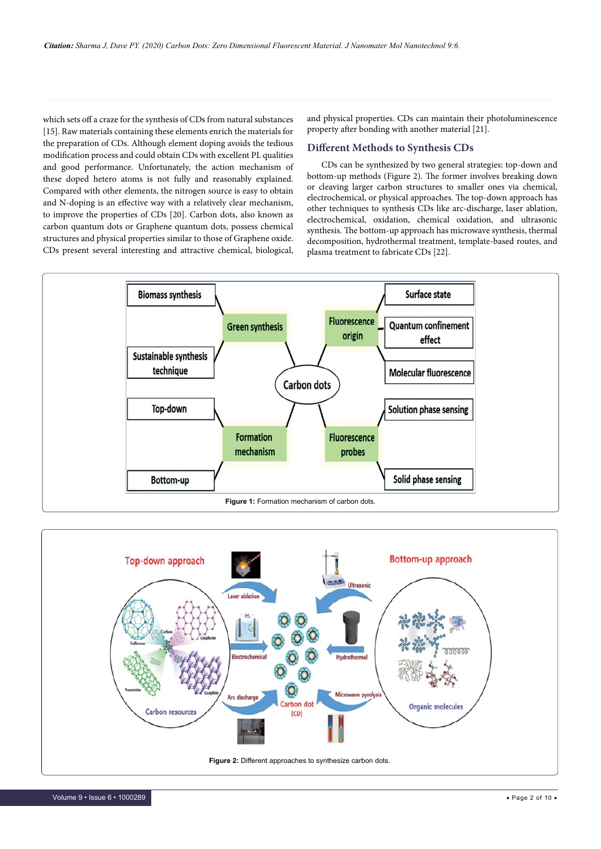which sets off a craze for the synthesis of CDs from natural substances [15]. Raw materials containing these elements enrich the materials for the preparation of CDs. Although element doping avoids the tedious modification process and could obtain CDs with excellent PL qualities and good performance. Unfortunately, the action mechanism of these doped hetero atoms is not fully and reasonably explained. Compared with other elements, the nitrogen source is easy to obtain and N-doping is an effective way with a relatively clear mechanism, to improve the properties of CDs [20]. Carbon dots, also known as carbon quantum dots or Graphene quantum dots, possess chemical structures and physical properties similar to those of Graphene oxide. CDs present several interesting and attractive chemical, biological, and physical properties. CDs can maintain their photoluminescence property after bonding with another material [21].

# **Different Methods to Synthesis CDs**

CDs can be synthesized by two general strategies: top-down and bottom-up methods (Figure 2). The former involves breaking down or cleaving larger carbon structures to smaller ones via chemical, electrochemical, or physical approaches. The top-down approach has other techniques to synthesis CDs like arc-discharge, laser ablation, electrochemical, oxidation, chemical oxidation, and ultrasonic synthesis. The bottom-up approach has microwave synthesis, thermal decomposition, hydrothermal treatment, template-based routes, and plasma treatment to fabricate CDs [22].



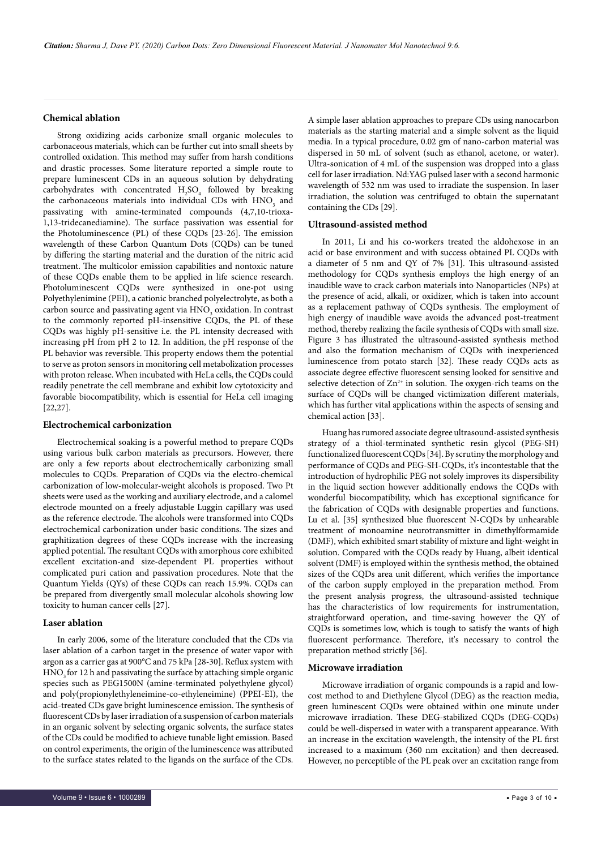### **Chemical ablation**

Strong oxidizing acids carbonize small organic molecules to carbonaceous materials, which can be further cut into small sheets by controlled oxidation. This method may suffer from harsh conditions and drastic processes. Some literature reported a simple route to prepare luminescent CDs in an aqueous solution by dehydrating carbohydrates with concentrated  $H_2SO_4$  followed by breaking the carbonaceous materials into individual CDs with  $HNO<sub>3</sub>$  and passivating with amine-terminated compounds (4,7,10-trioxa-1,13-tridecanediamine). The surface passivation was essential for the Photoluminescence (PL) of these CQDs [23-26]. The emission wavelength of these Carbon Quantum Dots (CQDs) can be tuned by differing the starting material and the duration of the nitric acid treatment. The multicolor emission capabilities and nontoxic nature of these CQDs enable them to be applied in life science research. Photoluminescent CQDs were synthesized in one-pot using Polyethylenimine (PEI), a cationic branched polyelectrolyte, as both a carbon source and passivating agent via  $\mathrm{HNO}_{\mathfrak{z}}$  oxidation. In contrast to the commonly reported pH-insensitive CQDs, the PL of these CQDs was highly pH-sensitive i.e. the PL intensity decreased with increasing pH from pH 2 to 12. In addition, the pH response of the PL behavior was reversible. This property endows them the potential to serve as proton sensors in monitoring cell metabolization processes with proton release. When incubated with HeLa cells, the CQDs could readily penetrate the cell membrane and exhibit low cytotoxicity and favorable biocompatibility, which is essential for HeLa cell imaging [22,27].

#### **Electrochemical carbonization**

Electrochemical soaking is a powerful method to prepare CQDs using various bulk carbon materials as precursors. However, there are only a few reports about electrochemically carbonizing small molecules to CQDs. Preparation of CQDs via the electro-chemical carbonization of low-molecular-weight alcohols is proposed. Two Pt sheets were used as the working and auxiliary electrode, and a calomel electrode mounted on a freely adjustable Luggin capillary was used as the reference electrode. The alcohols were transformed into CQDs electrochemical carbonization under basic conditions. The sizes and graphitization degrees of these CQDs increase with the increasing applied potential. The resultant CQDs with amorphous core exhibited excellent excitation-and size-dependent PL properties without complicated puri cation and passivation procedures. Note that the Quantum Yields (QYs) of these CQDs can reach 15.9%. CQDs can be prepared from divergently small molecular alcohols showing low toxicity to human cancer cells [27].

### **Laser ablation**

In early 2006, some of the literature concluded that the CDs via laser ablation of a carbon target in the presence of water vapor with argon as a carrier gas at 900°C and 75 kPa [28-30]. Reflux system with HNO<sub>3</sub> for 12 h and passivating the surface by attaching simple organic species such as PEG1500N (amine-terminated polyethylene glycol) and poly(propionylethyleneimine-co-ethyleneimine) (PPEI-EI), the acid-treated CDs gave bright luminescence emission. The synthesis of fluorescent CDs by laser irradiation of a suspension of carbon materials in an organic solvent by selecting organic solvents, the surface states of the CDs could be modified to achieve tunable light emission. Based on control experiments, the origin of the luminescence was attributed to the surface states related to the ligands on the surface of the CDs. A simple laser ablation approaches to prepare CDs using nanocarbon materials as the starting material and a simple solvent as the liquid media. In a typical procedure, 0.02 gm of nano-carbon material was dispersed in 50 mL of solvent (such as ethanol, acetone, or water). Ultra-sonication of 4 mL of the suspension was dropped into a glass cell for laser irradiation. Nd:YAG pulsed laser with a second harmonic wavelength of 532 nm was used to irradiate the suspension. In laser irradiation, the solution was centrifuged to obtain the supernatant containing the CDs [29].

## **Ultrasound-assisted method**

In 2011, Li and his co-workers treated the aldohexose in an acid or base environment and with success obtained PL CQDs with a diameter of 5 nm and QY of 7% [31]. This ultrasound-assisted methodology for CQDs synthesis employs the high energy of an inaudible wave to crack carbon materials into Nanoparticles (NPs) at the presence of acid, alkali, or oxidizer, which is taken into account as a replacement pathway of CQDs synthesis. The employment of high energy of inaudible wave avoids the advanced post-treatment method, thereby realizing the facile synthesis of CQDs with small size. Figure 3 has illustrated the ultrasound-assisted synthesis method and also the formation mechanism of CQDs with inexperienced luminescence from potato starch [32]. These ready CQDs acts as associate degree effective fluorescent sensing looked for sensitive and selective detection of  $Zn^{2+}$  in solution. The oxygen-rich teams on the surface of CQDs will be changed victimization different materials, which has further vital applications within the aspects of sensing and chemical action [33].

Huang has rumored associate degree ultrasound-assisted synthesis strategy of a thiol-terminated synthetic resin glycol (PEG-SH) functionalized fluorescent CQDs [34]. By scrutiny the morphology and performance of CQDs and PEG-SH-CQDs, it's incontestable that the introduction of hydrophilic PEG not solely improves its dispersibility in the liquid section however additionally endows the CQDs with wonderful biocompatibility, which has exceptional significance for the fabrication of CQDs with designable properties and functions. Lu et al. [35] synthesized blue fluorescent N-CQDs by unhearable treatment of monoamine neurotransmitter in dimethylformamide (DMF), which exhibited smart stability of mixture and light-weight in solution. Compared with the CQDs ready by Huang, albeit identical solvent (DMF) is employed within the synthesis method, the obtained sizes of the CQDs area unit different, which verifies the importance of the carbon supply employed in the preparation method. From the present analysis progress, the ultrasound-assisted technique has the characteristics of low requirements for instrumentation, straightforward operation, and time-saving however the QY of CQDs is sometimes low, which is tough to satisfy the wants of high fluorescent performance. Therefore, it's necessary to control the preparation method strictly [36].

### **Microwave irradiation**

Microwave irradiation of organic compounds is a rapid and lowcost method to and Diethylene Glycol (DEG) as the reaction media, green luminescent CQDs were obtained within one minute under microwave irradiation. These DEG-stabilized CQDs (DEG-CQDs) could be well-dispersed in water with a transparent appearance. With an increase in the excitation wavelength, the intensity of the PL first increased to a maximum (360 nm excitation) and then decreased. However, no perceptible of the PL peak over an excitation range from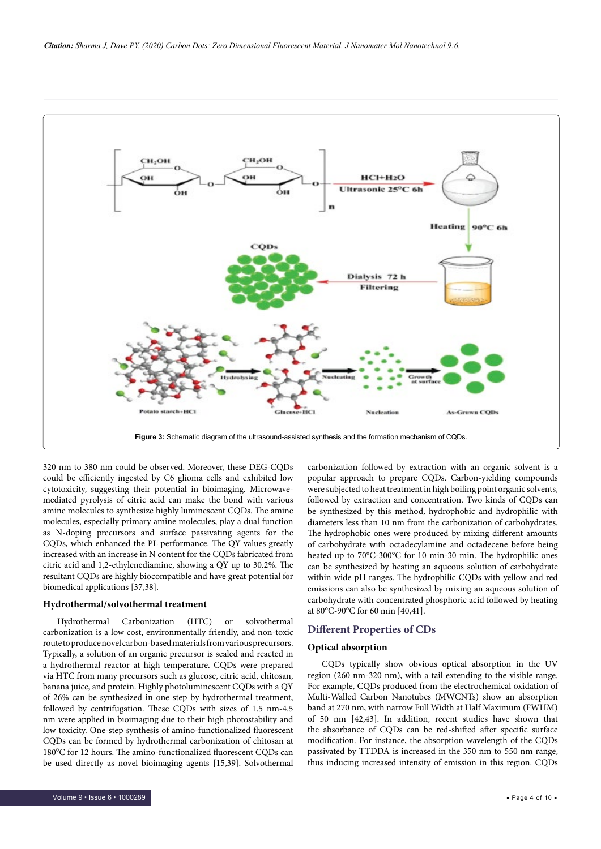

320 nm to 380 nm could be observed. Moreover, these DEG-CQDs could be efficiently ingested by C6 glioma cells and exhibited low cytotoxicity, suggesting their potential in bioimaging. Microwavemediated pyrolysis of citric acid can make the bond with various amine molecules to synthesize highly luminescent CQDs. The amine molecules, especially primary amine molecules, play a dual function as N-doping precursors and surface passivating agents for the CQDs, which enhanced the PL performance. The QY values greatly increased with an increase in N content for the CQDs fabricated from citric acid and 1,2-ethylenediamine, showing a QY up to 30.2%. The resultant CQDs are highly biocompatible and have great potential for biomedical applications [37,38].

#### **Hydrothermal/solvothermal treatment**

Hydrothermal Carbonization (HTC) or solvothermal carbonization is a low cost, environmentally friendly, and non-toxic route to produce novel carbon-based materials from various precursors. Typically, a solution of an organic precursor is sealed and reacted in a hydrothermal reactor at high temperature. CQDs were prepared via HTC from many precursors such as glucose, citric acid, chitosan, banana juice, and protein. Highly photoluminescent CQDs with a QY of 26% can be synthesized in one step by hydrothermal treatment, followed by centrifugation. These CQDs with sizes of 1.5 nm-4.5 nm were applied in bioimaging due to their high photostability and low toxicity. One-step synthesis of amino-functionalized fluorescent CQDs can be formed by hydrothermal carbonization of chitosan at 180°C for 12 hours. The amino-functionalized fluorescent CQDs can be used directly as novel bioimaging agents [15,39]. Solvothermal

carbonization followed by extraction with an organic solvent is a popular approach to prepare CQDs. Carbon-yielding compounds were subjected to heat treatment in high boiling point organic solvents, followed by extraction and concentration. Two kinds of CQDs can be synthesized by this method, hydrophobic and hydrophilic with diameters less than 10 nm from the carbonization of carbohydrates. The hydrophobic ones were produced by mixing different amounts of carbohydrate with octadecylamine and octadecene before being heated up to 70°C-300°C for 10 min-30 min. The hydrophilic ones can be synthesized by heating an aqueous solution of carbohydrate within wide pH ranges. The hydrophilic CQDs with yellow and red emissions can also be synthesized by mixing an aqueous solution of carbohydrate with concentrated phosphoric acid followed by heating at 80°C-90°C for 60 min [40,41].

### **Different Properties of CDs**

#### **Optical absorption**

CQDs typically show obvious optical absorption in the UV region (260 nm-320 nm), with a tail extending to the visible range. For example, CQDs produced from the electrochemical oxidation of Multi-Walled Carbon Nanotubes (MWCNTs) show an absorption band at 270 nm, with narrow Full Width at Half Maximum (FWHM) of 50 nm [42,43]. In addition, recent studies have shown that the absorbance of CQDs can be red-shifted after specific surface modification. For instance, the absorption wavelength of the CQDs passivated by TTDDA is increased in the 350 nm to 550 nm range, thus inducing increased intensity of emission in this region. CQDs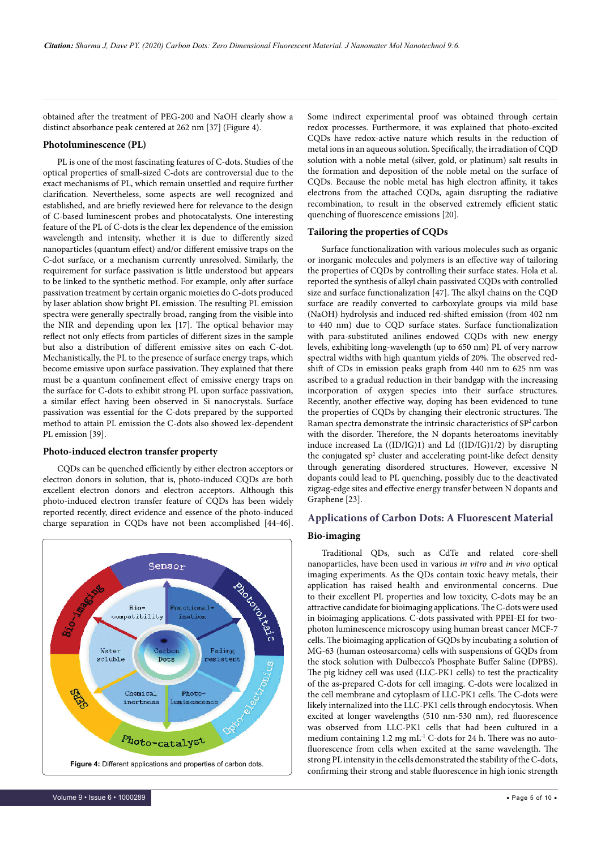obtained after the treatment of PEG-200 and NaOH clearly show a distinct absorbance peak centered at 262 nm [37] (Figure 4).

### **Photoluminescence (PL)**

PL is one of the most fascinating features of C-dots. Studies of the optical properties of small-sized C-dots are controversial due to the exact mechanisms of PL, which remain unsettled and require further clarification. Nevertheless, some aspects are well recognized and established, and are briefly reviewed here for relevance to the design of C-based luminescent probes and photocatalysts. One interesting feature of the PL of C-dots is the clear lex dependence of the emission wavelength and intensity, whether it is due to differently sized nanoparticles (quantum effect) and/or different emissive traps on the C-dot surface, or a mechanism currently unresolved. Similarly, the requirement for surface passivation is little understood but appears to be linked to the synthetic method. For example, only after surface passivation treatment by certain organic moieties do C-dots produced by laser ablation show bright PL emission. The resulting PL emission spectra were generally spectrally broad, ranging from the visible into the NIR and depending upon lex [17]. The optical behavior may reflect not only effects from particles of different sizes in the sample but also a distribution of different emissive sites on each C-dot. Mechanistically, the PL to the presence of surface energy traps, which become emissive upon surface passivation. They explained that there must be a quantum confinement effect of emissive energy traps on the surface for C-dots to exhibit strong PL upon surface passivation, a similar effect having been observed in Si nanocrystals. Surface passivation was essential for the C-dots prepared by the supported method to attain PL emission the C-dots also showed lex-dependent PL emission [39].

#### **Photo-induced electron transfer property**

CQDs can be quenched efficiently by either electron acceptors or electron donors in solution, that is, photo-induced CQDs are both excellent electron donors and electron acceptors. Although this photo-induced electron transfer feature of CQDs has been widely reported recently, direct evidence and essence of the photo-induced charge separation in CQDs have not been accomplished [44-46].



Some indirect experimental proof was obtained through certain redox processes. Furthermore, it was explained that photo-excited CQDs have redox-active nature which results in the reduction of metal ions in an aqueous solution. Specifically, the irradiation of CQD solution with a noble metal (silver, gold, or platinum) salt results in the formation and deposition of the noble metal on the surface of CQDs. Because the noble metal has high electron affinity, it takes electrons from the attached CQDs, again disrupting the radiative recombination, to result in the observed extremely efficient static quenching of fluorescence emissions [20].

# **Tailoring the properties of CQDs**

Surface functionalization with various molecules such as organic or inorganic molecules and polymers is an effective way of tailoring the properties of CQDs by controlling their surface states. Hola et al. reported the synthesis of alkyl chain passivated CQDs with controlled size and surface functionalization [47]. The alkyl chains on the CQD surface are readily converted to carboxylate groups via mild base (NaOH) hydrolysis and induced red-shifted emission (from 402 nm to 440 nm) due to CQD surface states. Surface functionalization with para-substituted anilines endowed CQDs with new energy levels, exhibiting long-wavelength (up to 650 nm) PL of very narrow spectral widths with high quantum yields of 20%. The observed redshift of CDs in emission peaks graph from 440 nm to 625 nm was ascribed to a gradual reduction in their bandgap with the increasing incorporation of oxygen species into their surface structures. Recently, another effective way, doping has been evidenced to tune the properties of CQDs by changing their electronic structures. The Raman spectra demonstrate the intrinsic characteristics of SP<sup>2</sup> carbon with the disorder. Therefore, the N dopants heteroatoms inevitably induce increased La ((ID/IG)1) and Ld ((ID/IG)1/2) by disrupting the conjugated sp<sup>2</sup> cluster and accelerating point-like defect density through generating disordered structures. However, excessive N dopants could lead to PL quenching, possibly due to the deactivated zigzag-edge sites and effective energy transfer between N dopants and Graphene [23].

# **Applications of Carbon Dots: A Fluorescent Material**

#### **Bio-imaging**

Traditional QDs, such as CdTe and related core-shell nanoparticles, have been used in various *in vitro* and *in vivo* optical imaging experiments. As the QDs contain toxic heavy metals, their application has raised health and environmental concerns. Due to their excellent PL properties and low toxicity, C-dots may be an attractive candidate for bioimaging applications. The C-dots were used in bioimaging applications. C-dots passivated with PPEI-EI for twophoton luminescence microscopy using human breast cancer MCF-7 cells. The bioimaging application of GQDs by incubating a solution of MG-63 (human osteosarcoma) cells with suspensions of GQDs from the stock solution with Dulbecco's Phosphate Buffer Saline (DPBS). The pig kidney cell was used (LLC-PK1 cells) to test the practicality of the as-prepared C-dots for cell imaging. C-dots were localized in the cell membrane and cytoplasm of LLC-PK1 cells. The C-dots were likely internalized into the LLC-PK1 cells through endocytosis. When excited at longer wavelengths (510 nm-530 nm), red fluorescence was observed from LLC-PK1 cells that had been cultured in a medium containing 1.2 mg mL-1 C-dots for 24 h. There was no autofluorescence from cells when excited at the same wavelength. The strong PL intensity in the cells demonstrated the stability of the C-dots, Figure 4: Different applications and properties of carbon dots.<br>Confirming their strong and stable fluorescence in high ionic strength only in the C-dots,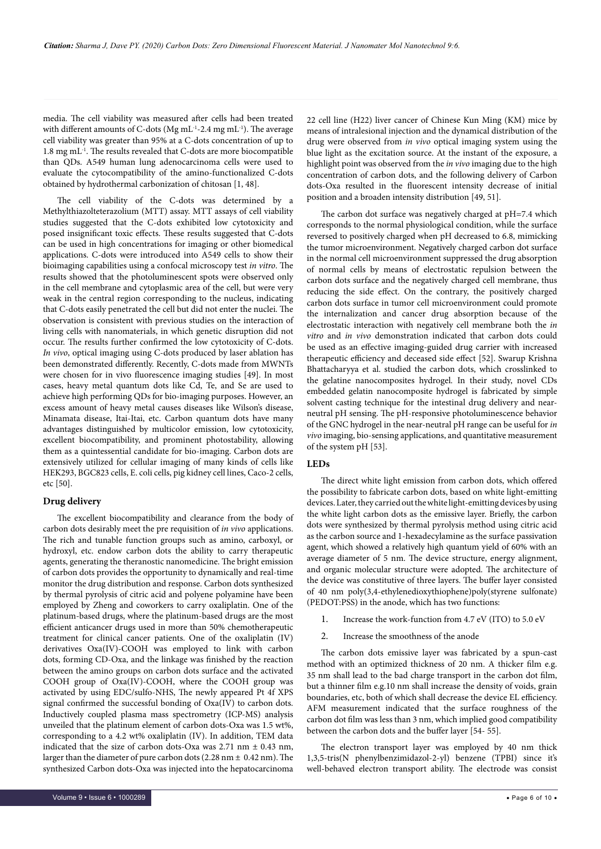media. The cell viability was measured after cells had been treated with different amounts of C-dots (Mg mL<sup>-1</sup>-2.4 mg mL<sup>-1</sup>). The average cell viability was greater than 95% at a C-dots concentration of up to 1.8 mg mL-1. The results revealed that C-dots are more biocompatible than QDs. A549 human lung adenocarcinoma cells were used to evaluate the cytocompatibility of the amino-functionalized C-dots obtained by hydrothermal carbonization of chitosan [1, 48].

The cell viability of the C-dots was determined by a Methylthiazolteterazolium (MTT) assay. MTT assays of cell viability studies suggested that the C-dots exhibited low cytotoxicity and posed insignificant toxic effects. These results suggested that C-dots can be used in high concentrations for imaging or other biomedical applications. C-dots were introduced into A549 cells to show their bioimaging capabilities using a confocal microscopy test *in vitro*. The results showed that the photoluminescent spots were observed only in the cell membrane and cytoplasmic area of the cell, but were very weak in the central region corresponding to the nucleus, indicating that C-dots easily penetrated the cell but did not enter the nuclei. The observation is consistent with previous studies on the interaction of living cells with nanomaterials, in which genetic disruption did not occur. The results further confirmed the low cytotoxicity of C-dots. *In vivo*, optical imaging using C-dots produced by laser ablation has been demonstrated differently. Recently, C-dots made from MWNTs were chosen for in vivo fluorescence imaging studies [49]. In most cases, heavy metal quantum dots like Cd, Te, and Se are used to achieve high performing QDs for bio-imaging purposes. However, an excess amount of heavy metal causes diseases like Wilson's disease, Minamata disease, Itai-Itai, etc. Carbon quantum dots have many advantages distinguished by multicolor emission, low cytotoxicity, excellent biocompatibility, and prominent photostability, allowing them as a quintessential candidate for bio-imaging. Carbon dots are extensively utilized for cellular imaging of many kinds of cells like HEK293, BGC823 cells, E. coli cells, pig kidney cell lines, Caco-2 cells, etc [50].

## **Drug delivery**

The excellent biocompatibility and clearance from the body of carbon dots desirably meet the pre requisition of *in vivo* applications. The rich and tunable function groups such as amino, carboxyl, or hydroxyl, etc. endow carbon dots the ability to carry therapeutic agents, generating the theranostic nanomedicine. The bright emission of carbon dots provides the opportunity to dynamically and real-time monitor the drug distribution and response. Carbon dots synthesized by thermal pyrolysis of citric acid and polyene polyamine have been employed by Zheng and coworkers to carry oxaliplatin. One of the platinum-based drugs, where the platinum-based drugs are the most efficient anticancer drugs used in more than 50% chemotherapeutic treatment for clinical cancer patients. One of the oxaliplatin (IV) derivatives Oxa(IV)-COOH was employed to link with carbon dots, forming CD-Oxa, and the linkage was finished by the reaction between the amino groups on carbon dots surface and the activated COOH group of Oxa(IV)-COOH, where the COOH group was activated by using EDC/sulfo-NHS, The newly appeared Pt 4f XPS signal confirmed the successful bonding of Oxa(IV) to carbon dots. Inductively coupled plasma mass spectrometry (ICP-MS) analysis unveiled that the platinum element of carbon dots-Oxa was 1.5 wt%, corresponding to a 4.2 wt% oxaliplatin (IV). In addition, TEM data indicated that the size of carbon dots-Oxa was  $2.71$  nm  $\pm$  0.43 nm, larger than the diameter of pure carbon dots (2.28 nm  $\pm$  0.42 nm). The synthesized Carbon dots-Oxa was injected into the hepatocarcinoma 22 cell line (H22) liver cancer of Chinese Kun Ming (KM) mice by means of intralesional injection and the dynamical distribution of the drug were observed from *in vivo* optical imaging system using the blue light as the excitation source. At the instant of the exposure, a highlight point was observed from the *in vivo* imaging due to the high concentration of carbon dots, and the following delivery of Carbon dots-Oxa resulted in the fluorescent intensity decrease of initial position and a broaden intensity distribution [49, 51].

The carbon dot surface was negatively charged at pH=7.4 which corresponds to the normal physiological condition, while the surface reversed to positively charged when pH decreased to 6.8, mimicking the tumor microenvironment. Negatively charged carbon dot surface in the normal cell microenvironment suppressed the drug absorption of normal cells by means of electrostatic repulsion between the carbon dots surface and the negatively charged cell membrane, thus reducing the side effect. On the contrary, the positively charged carbon dots surface in tumor cell microenvironment could promote the internalization and cancer drug absorption because of the electrostatic interaction with negatively cell membrane both the *in vitro* and *in vivo* demonstration indicated that carbon dots could be used as an effective imaging-guided drug carrier with increased therapeutic efficiency and deceased side effect [52]. Swarup Krishna Bhattacharyya et al. studied the carbon dots, which crosslinked to the gelatine nanocomposites hydrogel. In their study, novel CDs embedded gelatin nanocomposite hydrogel is fabricated by simple solvent casting technique for the intestinal drug delivery and nearneutral pH sensing. The pH-responsive photoluminescence behavior of the GNC hydrogel in the near-neutral pH range can be useful for *in vivo* imaging, bio-sensing applications, and quantitative measurement of the system pH [53].

#### **LEDs**

The direct white light emission from carbon dots, which offered the possibility to fabricate carbon dots, based on white light-emitting devices. Later, they carried out the white light-emitting devices by using the white light carbon dots as the emissive layer. Briefly, the carbon dots were synthesized by thermal pyrolysis method using citric acid as the carbon source and 1-hexadecylamine as the surface passivation agent, which showed a relatively high quantum yield of 60% with an average diameter of 5 nm. The device structure, energy alignment, and organic molecular structure were adopted. The architecture of the device was constitutive of three layers. The buffer layer consisted of 40 nm poly(3,4-ethylenedioxythiophene)poly(styrene sulfonate) (PEDOT:PSS) in the anode, which has two functions:

- 1. Increase the work-function from 4.7 eV (ITO) to 5.0 eV
- 2. Increase the smoothness of the anode

The carbon dots emissive layer was fabricated by a spun-cast method with an optimized thickness of 20 nm. A thicker film e.g. 35 nm shall lead to the bad charge transport in the carbon dot film, but a thinner film e.g.10 nm shall increase the density of voids, grain boundaries, etc, both of which shall decrease the device EL efficiency. AFM measurement indicated that the surface roughness of the carbon dot film was less than 3 nm, which implied good compatibility between the carbon dots and the buffer layer [54- 55].

The electron transport layer was employed by 40 nm thick 1,3,5-tris(N phenylbenzimidazol-2-yl) benzene (TPBI) since it's well-behaved electron transport ability. The electrode was consist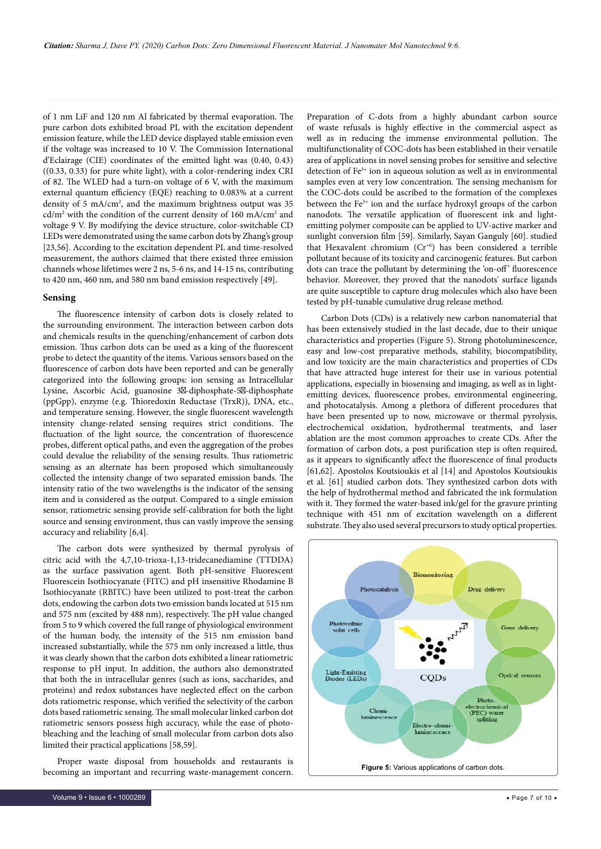of 1 nm LiF and 120 nm Al fabricated by thermal evaporation. The pure carbon dots exhibited broad PL with the excitation dependent emission feature, while the LED device displayed stable emission even if the voltage was increased to 10 V. The Commission International d'Eclairage (CIE) coordinates of the emitted light was (0.40, 0.43) ((0.33, 0.33) for pure white light), with a color-rendering index CRI of 82. The WLED had a turn-on voltage of 6 V, with the maximum external quantum efficiency (EQE) reaching to 0.083% at a current density of 5 mA/cm<sup>2</sup>, and the maximum brightness output was 35 cd/m<sup>2</sup> with the condition of the current density of 160 mA/cm<sup>2</sup> and voltage 9 V. By modifying the device structure, color-switchable CD LEDs were demonstrated using the same carbon dots by Zhang's group [23,56]. According to the excitation dependent PL and time-resolved measurement, the authors claimed that there existed three emission channels whose lifetimes were 2 ns, 5-6 ns, and 14-15 ns, contributing to 420 nm, 460 nm, and 580 nm band emission respectively [49].

#### **Sensing**

The fluorescence intensity of carbon dots is closely related to the surrounding environment. The interaction between carbon dots and chemicals results in the quenching/enhancement of carbon dots emission. Thus carbon dots can be used as a king of the fluorescent probe to detect the quantity of the items. Various sensors based on the fluorescence of carbon dots have been reported and can be generally categorized into the following groups: ion sensing as Intracellular Lysine, Ascorbic Acid, guanosine 3 -diphosphate-5 -diphosphate (ppGpp), enzyme (e.g. Thioredoxin Reductase (TrxR)), DNA, etc., and temperature sensing. However, the single fluorescent wavelength intensity change-related sensing requires strict conditions. The fluctuation of the light source, the concentration of fluorescence probes, different optical paths, and even the aggregation of the probes could devalue the reliability of the sensing results. Thus ratiometric sensing as an alternate has been proposed which simultaneously collected the intensity change of two separated emission bands. The intensity ratio of the two wavelengths is the indicator of the sensing item and is considered as the output. Compared to a single emission sensor, ratiometric sensing provide self-calibration for both the light source and sensing environment, thus can vastly improve the sensing accuracy and reliability [6,4].

The carbon dots were synthesized by thermal pyrolysis of citric acid with the 4,7,10-trioxa-1,13-tridecanediamine (TTDDA) as the surface passivation agent. Both pH-sensitive Fluorescent Fluorescein Isothiocyanate (FITC) and pH insensitive Rhodamine B Isothiocyanate (RBITC) have been utilized to post-treat the carbon dots, endowing the carbon dots two emission bands located at 515 nm and 575 nm (excited by 488 nm), respectively. The pH value changed from 5 to 9 which covered the full range of physiological environment of the human body, the intensity of the 515 nm emission band increased substantially, while the 575 nm only increased a little, thus it was clearly shown that the carbon dots exhibited a linear ratiometric response to pH input. In addition, the authors also demonstrated that both the in intracellular genres (such as ions, saccharides, and proteins) and redox substances have neglected effect on the carbon dots ratiometric response, which verified the selectivity of the carbon dots based ratiometric sensing. The small molecular linked carbon dot ratiometric sensors possess high accuracy, while the ease of photobleaching and the leaching of small molecular from carbon dots also limited their practical applications [58,59].

Proper waste disposal from households and restaurants is becoming an important and recurring waste-management concern. Preparation of C-dots from a highly abundant carbon source of waste refusals is highly effective in the commercial aspect as well as in reducing the immense environmental pollution. The multifunctionality of COC-dots has been established in their versatile area of applications in novel sensing probes for sensitive and selective detection of Fe<sup>3+</sup> ion in aqueous solution as well as in environmental samples even at very low concentration. The sensing mechanism for the COC-dots could be ascribed to the formation of the complexes between the Fe<sup>3+</sup> ion and the surface hydroxyl groups of the carbon nanodots. The versatile application of fluorescent ink and lightemitting polymer composite can be applied to UV-active marker and sunlight conversion film [59]. Similarly, Sayan Ganguly [60]. studied that Hexavalent chromium (Cr<sup>+6</sup>) has been considered a terrible pollutant because of its toxicity and carcinogenic features. But carbon dots can trace the pollutant by determining the 'on-off' fluorescence behavior. Moreover, they proved that the nanodots' surface ligands are quite susceptible to capture drug molecules which also have been tested by pH-tunable cumulative drug release method.

Carbon Dots (CDs) is a relatively new carbon nanomaterial that has been extensively studied in the last decade, due to their unique characteristics and properties (Figure 5). Strong photoluminescence, easy and low-cost preparative methods, stability, biocompatibility, and low toxicity are the main characteristics and properties of CDs that have attracted huge interest for their use in various potential applications, especially in biosensing and imaging, as well as in lightemitting devices, fluorescence probes, environmental engineering, and photocatalysis. Among a plethora of different procedures that have been presented up to now, microwave or thermal pyrolysis, electrochemical oxidation, hydrothermal treatments, and laser ablation are the most common approaches to create CDs. After the formation of carbon dots, a post purification step is often required, as it appears to significantly affect the fluorescence of final products [61,62]. Apostolos Koutsioukis et al [14] and Apostolos Koutsioukis et al. [61] studied carbon dots. They synthesized carbon dots with the help of hydrothermal method and fabricated the ink formulation with it. They formed the water-based ink/gel for the gravure printing technique with 451 nm of excitation wavelength on a different substrate. They also used several precursors to study optical properties.

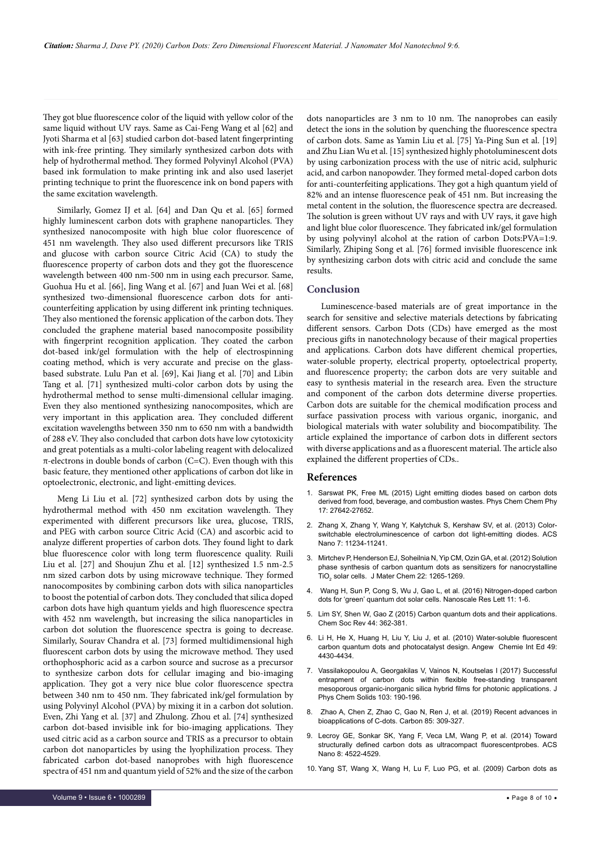They got blue fluorescence color of the liquid with yellow color of the same liquid without UV rays. Same as Cai-Feng Wang et al [62] and Jyoti Sharma et al [63] studied carbon dot-based latent fingerprinting with ink-free printing. They similarly synthesized carbon dots with help of hydrothermal method. They formed Polyvinyl Alcohol (PVA) based ink formulation to make printing ink and also used laserjet printing technique to print the fluorescence ink on bond papers with the same excitation wavelength.

Similarly, Gomez IJ et al. [64] and Dan Qu et al. [65] formed highly luminescent carbon dots with graphene nanoparticles. They synthesized nanocomposite with high blue color fluorescence of 451 nm wavelength. They also used different precursors like TRIS and glucose with carbon source Citric Acid (CA) to study the fluorescence property of carbon dots and they got the fluorescence wavelength between 400 nm-500 nm in using each precursor. Same, Guohua Hu et al. [66], Jing Wang et al. [67] and Juan Wei et al. [68] synthesized two-dimensional fluorescence carbon dots for anticounterfeiting application by using different ink printing techniques. They also mentioned the forensic application of the carbon dots. They concluded the graphene material based nanocomposite possibility with fingerprint recognition application. They coated the carbon dot-based ink/gel formulation with the help of electrospinning coating method, which is very accurate and precise on the glassbased substrate. Lulu Pan et al. [69], Kai Jiang et al. [70] and Libin Tang et al. [71] synthesized multi-color carbon dots by using the hydrothermal method to sense multi-dimensional cellular imaging. Even they also mentioned synthesizing nanocomposites, which are very important in this application area. They concluded different excitation wavelengths between 350 nm to 650 nm with a bandwidth of 288 eV. They also concluded that carbon dots have low cytotoxicity and great potentials as a multi-color labeling reagent with delocalized  $\pi$ -electrons in double bonds of carbon (C=C). Even though with this basic feature, they mentioned other applications of carbon dot like in optoelectronic, electronic, and light-emitting devices.

Meng Li Liu et al. [72] synthesized carbon dots by using the hydrothermal method with 450 nm excitation wavelength. They experimented with different precursors like urea, glucose, TRIS, and PEG with carbon source Citric Acid (CA) and ascorbic acid to analyze different properties of carbon dots. They found light to dark blue fluorescence color with long term fluorescence quality. Ruili Liu et al. [27] and Shoujun Zhu et al. [12] synthesized 1.5 nm-2.5 nm sized carbon dots by using microwave technique. They formed nanocomposites by combining carbon dots with silica nanoparticles to boost the potential of carbon dots. They concluded that silica doped carbon dots have high quantum yields and high fluorescence spectra with 452 nm wavelength, but increasing the silica nanoparticles in carbon dot solution the fluorescence spectra is going to decrease. Similarly, Sourav Chandra et al. [73] formed multidimensional high fluorescent carbon dots by using the microwave method. They used orthophosphoric acid as a carbon source and sucrose as a precursor to synthesize carbon dots for cellular imaging and bio-imaging application. They got a very nice blue color fluorescence spectra between 340 nm to 450 nm. They fabricated ink/gel formulation by using Polyvinyl Alcohol (PVA) by mixing it in a carbon dot solution. Even, Zhi Yang et al. [37] and Zhulong. Zhou et al. [74] synthesized carbon dot-based invisible ink for bio-imaging applications. They used citric acid as a carbon source and TRIS as a precursor to obtain carbon dot nanoparticles by using the lyophilization process. They fabricated carbon dot-based nanoprobes with high fluorescence spectra of 451 nm and quantum yield of 52% and the size of the carbon dots nanoparticles are 3 nm to 10 nm. The nanoprobes can easily detect the ions in the solution by quenching the fluorescence spectra of carbon dots. Same as Yamin Liu et al. [75] Ya-Ping Sun et al. [19] and Zhu Lian Wu et al. [15] synthesized highly photoluminescent dots by using carbonization process with the use of nitric acid, sulphuric acid, and carbon nanopowder. They formed metal-doped carbon dots for anti-counterfeiting applications. They got a high quantum yield of 82% and an intense fluorescence peak of 451 nm. But increasing the metal content in the solution, the fluorescence spectra are decreased. The solution is green without UV rays and with UV rays, it gave high and light blue color fluorescence. They fabricated ink/gel formulation by using polyvinyl alcohol at the ration of carbon Dots:PVA=1:9. Similarly, Zhiping Song et al. [76] formed invisible fluorescence ink by synthesizing carbon dots with citric acid and conclude the same results.

## **Conclusion**

Luminescence-based materials are of great importance in the search for sensitive and selective materials detections by fabricating different sensors. Carbon Dots (CDs) have emerged as the most precious gifts in nanotechnology because of their magical properties and applications. Carbon dots have different chemical properties, water-soluble property, electrical property, optoelectrical property, and fluorescence property; the carbon dots are very suitable and easy to synthesis material in the research area. Even the structure and component of the carbon dots determine diverse properties. Carbon dots are suitable for the chemical modification process and surface passivation process with various organic, inorganic, and biological materials with water solubility and biocompatibility. The article explained the importance of carbon dots in different sectors with diverse applications and as a fluorescent material. The article also explained the different properties of CDs..

#### **References**

- 1. [Sarswat PK, Free ML \(2015\) Light emitting diodes based on carbon dots](https://doi.org/10.1039/C5CP04782J) [derived from food, beverage, and combustion wastes. Phys Chem Chem Phy](https://doi.org/10.1039/C5CP04782J) [17: 27642-27652.](https://doi.org/10.1039/C5CP04782J)
- 2. [Zhang X, Zhang Y, Wang Y, Kalytchuk S, Kershaw SV, et al. \(2013\) Color](https://doi.org/10.1021/nn405017q)[switchable electroluminescence of carbon dot light-emitting diodes. ACS](https://doi.org/10.1021/nn405017q) [Nano 7: 11234-11241.](https://doi.org/10.1021/nn405017q)
- 3. [Mirtchev P, Henderson EJ, Soheilnia N, Yip CM, Ozin GA, et al. \(2012\) Solution](https://doi.org/10.1039/C1JM14112K) [phase synthesis of carbon quantum dots as sensitizers for nanocrystalline](https://doi.org/10.1039/C1JM14112K) TiO<sub>2</sub> [solar cells. J Mater Chem 22: 1265-1269.](https://doi.org/10.1039/C1JM14112K)
- [Wang H, Sun P, Cong S, Wu J, Gao L, et al. \(2016\) Nitrogen-doped carbon](https://doi.org/10.1186/s11671-016-1231-1) [dots for 'green' quantum dot solar cells. Nanoscale Res Lett 11: 1-6.](https://doi.org/10.1186/s11671-016-1231-1)
- 5. [Lim SY, Shen W, Gao Z \(2015\) Carbon quantum dots and their applications.](https://doi.org/10.1039/C4CS00269E) [Chem Soc Rev 44: 362-381.](https://doi.org/10.1039/C4CS00269E)
- 6. [Li H, He X, Huang H, Liu Y, Liu J, et al. \(2010\) Water-soluble fluorescent](https://doi.org/10.1002/anie.200906154) [carbon quantum dots and photocatalyst design. Angew Chemie Int Ed 49:](https://doi.org/10.1002/anie.200906154) [4430-4434.](https://doi.org/10.1002/anie.200906154)
- 7. [Vassilakopoulou A, Georgakilas V, Vainos N, Koutselas I \(2017\) Successful](https://doi.org/10.1016/j.jpcs.2016.12.027) [entrapment of carbon dots within flexible free-standing transparent](https://doi.org/10.1016/j.jpcs.2016.12.027) [mesoporous organic-inorganic silica hybrid films for photonic applications. J](https://doi.org/10.1016/j.jpcs.2016.12.027) [Phys Chem Solids 103: 190-196.](https://doi.org/10.1016/j.jpcs.2016.12.027)
- 8. [Zhao A, Chen Z, Zhao C, Gao N, Ren J, et al. \(2019\) Recent advances in](https://doi.org/10.1016/j.carbon.2014.12.045) [bioapplications of C-dots. Carbon 85: 309-327.](https://doi.org/10.1016/j.carbon.2014.12.045)
- 9. [Lecroy GE, Sonkar SK, Yang F, Veca LM, Wang P, et al. \(2014\) Toward](https://doi.org/10.1021/nn406628s) [structurally defined carbon dots as ultracompact fluorescentprobes. ACS](https://doi.org/10.1021/nn406628s) [Nano 8: 4522-4529.](https://doi.org/10.1021/nn406628s)
- 10. [Yang ST, Wang X, Wang H, Lu F, Luo PG, et al. \(2009\) Carbon dots as](https://doi.org/10.1021/jp9085969)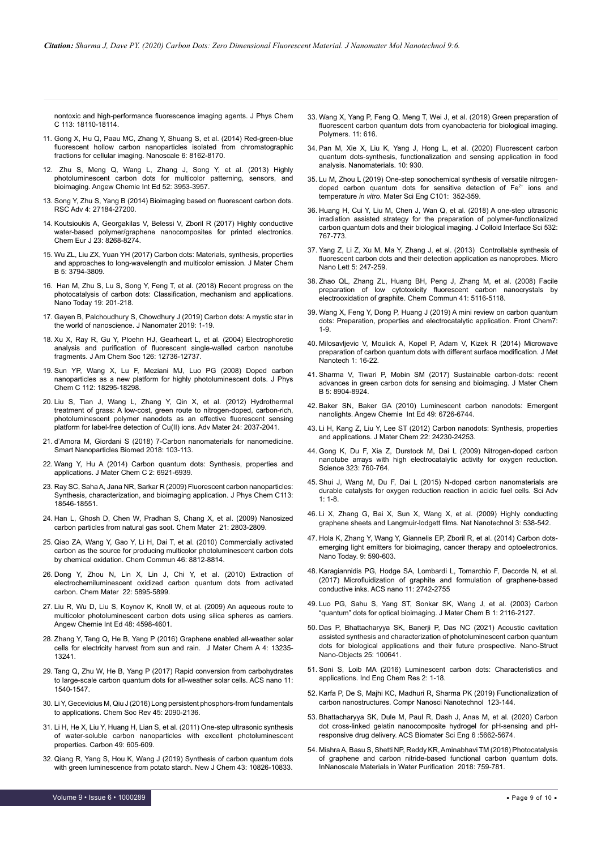[nontoxic and high-performance fluorescence imaging agents. J Phys Chem](https://doi.org/10.1021/jp9085969)  [C 113: 18110-18114.](https://doi.org/10.1021/jp9085969)

- 11. [Gong X, Hu Q, Paau MC, Zhang Y, Shuang S, et al. \(2014\) Red-green-blue](https://doi.org/10.1039/C4NR01453G)  [fluorescent hollow carbon nanoparticles isolated from chromatographic](https://doi.org/10.1039/C4NR01453G)  [fractions for cellular imaging. Nanoscale 6: 8162-8170.](https://doi.org/10.1039/C4NR01453G)
- 12. [Zhu S, Meng Q, Wang L, Zhang J, Song Y, et al. \(2013\) Highly](https://doi.org/10.1002/anie.201300519)  [photoluminescent carbon dots for multicolor patterning, sensors, and](https://doi.org/10.1002/anie.201300519)  [bioimaging. Angew Chemie Int Ed 52: 3953-3957.](https://doi.org/10.1002/anie.201300519)
- 13. [Song Y, Zhu S, Yang B \(2014\) Bioimaging based on fluorescent carbon dots.](https://doi.org/10.1039/C3RA47994C)  [RSC Adv 4: 27184-27200.](https://doi.org/10.1039/C3RA47994C)
- 14. [Koutsioukis A, Georgakilas V, Belessi V, Zboril R \(2017\) Highly conductive](https://doi.org/10.1002/chem.201700997)  [water-based polymer/graphene nanocomposites for printed electronics.](https://doi.org/10.1002/chem.201700997)  [Chem Eur J 23: 8268-8274.](https://doi.org/10.1002/chem.201700997)
- 15. [Wu ZL, Liu ZX, Yuan YH \(2017\) Carbon dots: Materials, synthesis, properties](https://doi.org/10.1039/C7TB00363C)  [and approaches to long-wavelength and multicolor emission. J Mater Chem](https://doi.org/10.1039/C7TB00363C)  [B 5: 3794-3809.](https://doi.org/10.1039/C7TB00363C)
- 16. [Han M, Zhu S, Lu S, Song Y, Feng T, et al. \(2018\) Recent progress on the](https://doi.org/10.1016/j.nantod.2018.02.008)  [photocatalysis of carbon dots: Classification, mechanism and applications.](https://doi.org/10.1016/j.nantod.2018.02.008)  [Nano Today 19: 201-218.](https://doi.org/10.1016/j.nantod.2018.02.008)
- 17. [Gayen B, Palchoudhury S, Chowdhury J \(2019\) Carbon dots: A mystic star in](https://doi.org/10.1155/2019/3451307)  [the world of nanoscience. J Nanomater 2019: 1-19.](https://doi.org/10.1155/2019/3451307)
- 18. [Xu X, Ray R, Gu Y, Ploehn HJ, Gearheart L, et al. \(2004\) Electrophoretic](https://doi.org/10.1021/ja040082h)  [analysis and purification of fluorescent single-walled carbon nanotube](https://doi.org/10.1021/ja040082h)  [fragments. J Am Chem Soc 126: 12736-12737.](https://doi.org/10.1021/ja040082h)
- 19. [Sun YP, Wang X, Lu F, Meziani MJ, Luo PG \(2008\) Doped carbon](https://doi.org/10.1021/jp8076485)  [nanoparticles as a new platform for highly photoluminescent dots. J Phys](https://doi.org/10.1021/jp8076485)  [Chem C 112: 18295-18298.](https://doi.org/10.1021/jp8076485)
- 20. [Liu S, Tian J, Wang L, Zhang Y, Qin X, et al. \(2012\) Hydrothermal](https://doi.org/10.1002/adma.201200164)  [treatment of grass: A low-cost, green route to nitrogen-doped, carbon-rich,](https://doi.org/10.1002/adma.201200164)  [photoluminescent polymer nanodots as an effective fluorescent sensing](https://doi.org/10.1002/adma.201200164)  [platform for label-free detection of Cu\(II\) ions. Adv Mater 24: 2037-2041.](https://doi.org/10.1002/adma.201200164)
- 21. [d'Amora M, Giordani S \(2018\) 7-Carbon nanomaterials for nanomedicine.](https://doi.org/10.1016/B978-0-12-814156-4.00007-0)  [Smart Nanoparticles Biomed 2018: 103-113.](https://doi.org/10.1016/B978-0-12-814156-4.00007-0)
- 22. [Wang Y, Hu A \(2014\) Carbon quantum dots: Synthesis, properties and](https://doi.org/10.1039/C4TC00988F)  [applications. J Mater Chem C 2: 6921-6939.](https://doi.org/10.1039/C4TC00988F)
- 23. [Ray SC, Saha A, Jana NR, Sarkar R \(2009\) Fluorescent carbon nanoparticles:](https://doi.org/10.1021/jp905912n)  [Synthesis, characterization, and bioimaging application. J Phys Chem C113:](https://doi.org/10.1021/jp905912n)  [18546-18551.](https://doi.org/10.1021/jp905912n)
- 24. [Han L, Ghosh D, Chen W, Pradhan S, Chang X, et al. \(2009\) Nanosized](https://doi.org/10.1021/cm900709w)  [carbon particles from natural gas soot. Chem Mater 21: 2803-2809.](https://doi.org/10.1021/cm900709w)
- 25. [Qiao ZA, Wang Y, Gao Y, Li H, Dai T, et al. \(2010\) Commercially activated](https://doi.org/10.1039/C0CC02724C)  [carbon as the source for producing multicolor photoluminescent carbon dots](https://doi.org/10.1039/C0CC02724C)  [by chemical oxidation. Chem Commun 46: 8812-8814.](https://doi.org/10.1039/C0CC02724C)
- 26. [Dong Y, Zhou N, Lin X, Lin J, Chi Y, et al. \(2010\) Extraction of](https://doi.org/10.1021/cm1018844)  [electrochemiluminescent oxidized carbon quantum dots from activated](https://doi.org/10.1021/cm1018844)  [carbon. Chem Mater 22: 5895-5899.](https://doi.org/10.1021/cm1018844)
- 27. [Liu R, Wu D, Liu S, Koynov K, Knoll W, et al. \(2009\) An aqueous route to](https://doi.org/10.1002/anie.200900652)  [multicolor photoluminescent carbon dots using silica spheres as carriers.](https://doi.org/10.1002/anie.200900652)  [Angew Chemie Int Ed 48: 4598-4601.](https://doi.org/10.1002/anie.200900652)
- 28. [Zhang Y, Tang Q, He B, Yang P \(2016\) Graphene enabled all-weather solar](https://doi.org/10.1039/C6TA05276B)  [cells for electricity harvest from sun and rain. J Mater Chem A 4: 13235-](https://doi.org/10.1039/C6TA05276B) [13241.](https://doi.org/10.1039/C6TA05276B)
- 29. [Tang Q, Zhu W, He B, Yang P \(2017\) Rapid conversion from carbohydrates](https://doi.org/10.1021/acsnano.6b06867)  [to large-scale carbon quantum dots for all-weather solar cells. ACS nano 11:](https://doi.org/10.1021/acsnano.6b06867)  [1540-1547.](https://doi.org/10.1021/acsnano.6b06867)
- 30. [Li Y, Gecevicius M, Qiu J \(2016\) Long persistent phosphors-from fundamentals](https://doi.org/10.1039/C5CS00582E)  [to applications. Chem Soc Rev 45: 2090-2136.](https://doi.org/10.1039/C5CS00582E)
- 31. [Li H, He X, Liu Y, Huang H, Lian S, et al. \(2011\) One-step ultrasonic synthesis](https://doi.org/10.1016/j.carbon.2010.10.004)  [of water-soluble carbon nanoparticles with excellent photoluminescent](https://doi.org/10.1016/j.carbon.2010.10.004)  [properties. Carbon 49: 605-609.](https://doi.org/10.1016/j.carbon.2010.10.004)
- 32. [Qiang R, Yang S, Hou K, Wang J \(2019\) Synthesis of carbon quantum dots](https://doi.org/10.1039/C9NJ02291K)  [with green luminescence from potato starch. New J Chem 43: 10826-10833.](https://doi.org/10.1039/C9NJ02291K)
- 33. [Wang X, Yang P, Feng Q, Meng T, Wei J, et al. \(2019\) Green preparation of](https://doi.org/10.3390/polym11040616)  [fluorescent carbon quantum dots from cyanobacteria for biological imaging.](https://doi.org/10.3390/polym11040616)  [Polymers. 11: 616.](https://doi.org/10.3390/polym11040616)
- 34. [Pan M, Xie X, Liu K, Yang J, Hong L, et al. \(2020\) Fluorescent carbon](https://doi.org/10.3390/nano10050930)  [quantum dots-synthesis, functionalization and sensing application in food](https://doi.org/10.3390/nano10050930)  [analysis. Nanomaterials. 10: 930.](https://doi.org/10.3390/nano10050930)
- 35. [Lu M, Zhou L \(2019\) One-step sonochemical synthesis of versatile nitrogen](https://doi.org/10.1016/j.msec.2019.03.109)[doped carbon quantum dots for sensitive detection of Fe2+ ions and](https://doi.org/10.1016/j.msec.2019.03.109)  temperature *in vitro*[. Mater Sci Eng C101: 352-359.](https://doi.org/10.1016/j.msec.2019.03.109)
- 36. [Huang H, Cui Y, Liu M, Chen J, Wan Q, et al. \(2018\) A one-step ultrasonic](https://doi.org/10.1016/j.jcis.2018.07.099)  [irradiation assisted strategy for the preparation of polymer-functionalized](https://doi.org/10.1016/j.jcis.2018.07.099)  [carbon quantum dots and their biological imaging. J Colloid Interface Sci 532:](https://doi.org/10.1016/j.jcis.2018.07.099)  [767-773.](https://doi.org/10.1016/j.jcis.2018.07.099)
- 37. [Yang Z, Li Z, Xu M, Ma Y, Zhang J, et al. \(2013\) Controllable synthesis of](file:///C:\Users\DELL2\Downloads\Yang2013_Article_ControllableSynthesisOfFluores (1).pdf)  [fluorescent carbon dots and their detection application as nanoprobes. Micro](file:///C:\Users\DELL2\Downloads\Yang2013_Article_ControllableSynthesisOfFluores (1).pdf)  [Nano Lett 5: 247-259.](file:///C:\Users\DELL2\Downloads\Yang2013_Article_ControllableSynthesisOfFluores (1).pdf)
- 38. [Zhao QL, Zhang ZL, Huang BH, Peng J, Zhang M, et al. \(2008\) Facile](https://doi.org/10.1039/B812420E)  [preparation of low cytotoxicity fluorescent carbon nanocrystals by](https://doi.org/10.1039/B812420E)  [electrooxidation of graphite. Chem Commun 41: 5116-5118.](https://doi.org/10.1039/B812420E)
- 39. [Wang X, Feng Y, Dong P, Huang J \(2019\) A mini review on carbon quantum](https://doi.org/10.3389/fchem.2019.00671)  [dots: Preparation, properties and electrocatalytic application. Front Chem7:](https://doi.org/10.3389/fchem.2019.00671)  [1-9.](https://doi.org/10.3389/fchem.2019.00671)
- 40. [Milosavljevic V, Moulick A, Kopel P, Adam V, Kizek R \(2014\) Microwave](http://web2.mendelu.cz/af_239_nanotech/J_Met_Nano/0314/microwave_preparation_of_carbon_quantum_dots_with_different_surface_modification.html)  [preparation of carbon quantum dots with different surface modification. J Met](http://web2.mendelu.cz/af_239_nanotech/J_Met_Nano/0314/microwave_preparation_of_carbon_quantum_dots_with_different_surface_modification.html)  [Nanotech 1: 16-22.](http://web2.mendelu.cz/af_239_nanotech/J_Met_Nano/0314/microwave_preparation_of_carbon_quantum_dots_with_different_surface_modification.html)
- 41. [Sharma V, Tiwari P, Mobin SM \(2017\) Sustainable carbon-dots: recent](https://doi.org/10.1039/C7TB02484C)  [advances in green carbon dots for sensing and bioimaging. J Mater Chem](https://doi.org/10.1039/C7TB02484C)  [B 5: 8904-8924.](https://doi.org/10.1039/C7TB02484C)
- 42. [Baker SN, Baker GA \(2010\) Luminescent carbon nanodots: Emergent](https://doi.org/10.1002/anie.200906623)  [nanolights. Angew Chemie Int Ed 49: 6726-6744.](https://doi.org/10.1002/anie.200906623)
- 43. [Li H, Kang Z, Liu Y, Lee ST \(2012\) Carbon nanodots: Synthesis, properties](https://doi.org/10.1039/C2JM34690G)  [and applications. J Mater Chem 22: 24230-24253.](https://doi.org/10.1039/C2JM34690G)
- 44. [Gong K, Du F, Xia Z, Durstock M, Dai L \(2009\) Nitrogen-doped carbon](file:///C:\Users\DELL2\AppData\Local\Temp\Rar$DIa1136.40953\10.1126\science.1168049)  [nanotube arrays with high electrocatalytic activity for oxygen reduction.](file:///C:\Users\DELL2\AppData\Local\Temp\Rar$DIa1136.40953\10.1126\science.1168049)  [Science 323: 760-764.](file:///C:\Users\DELL2\AppData\Local\Temp\Rar$DIa1136.40953\10.1126\science.1168049)
- 45. [Shui J, Wang M, Du F, Dai L \(2015\) N-doped carbon nanomaterials are](file:///C:\Users\DELL2\AppData\Local\Temp\Rar$DIa1136.40953\10.1126\sciadv.1400129)  [durable catalysts for oxygen reduction reaction in acidic fuel cells. Sci Adv](file:///C:\Users\DELL2\AppData\Local\Temp\Rar$DIa1136.40953\10.1126\sciadv.1400129)   $1: 1 - 8$
- 46. Li X, Zhang G, Bai X, Sun X, Wang X, et al. (2009) Highly conducting graphene sheets and Langmuir-lodgett films. Nat Nanotechnol 3: 538-542.
- 47. [Hola K, Zhang Y, Wang Y, Giannelis EP, Zboril R, et al. \(2014\) Carbon dots](https://doi.org/10.1016/j.nantod.2014.09.004)[emerging light emitters for bioimaging, cancer therapy and optoelectronics.](https://doi.org/10.1016/j.nantod.2014.09.004)  [Nano Today. 9: 590-603.](https://doi.org/10.1016/j.nantod.2014.09.004)
- 48. [Karagiannidis PG, Hodge SA, Lombardi L, Tomarchio F, Decorde N, et al.](https://doi.org/10.1021/acsnano.6b07735)  [\(2017\) Microfluidization of graphite and formulation of graphene-based](https://doi.org/10.1021/acsnano.6b07735)  [conductive inks. ACS nano 11: 2742-2755](https://doi.org/10.1021/acsnano.6b07735)
- 49. [Luo PG, Sahu S, Yang ST, Sonkar SK, Wang J, et al. \(2003\) Carbon](https://doi.org/10.1039/C3TB00018D)  ["quantum" dots for optical bioimaging. J Mater Chem B 1: 2116-2127.](https://doi.org/10.1039/C3TB00018D)
- 50. [Das P, Bhattacharyya SK, Banerji P, Das NC \(2021\) Acoustic cavitation](https://doi.org/10.1016/j.nanoso.2020.100641)  [assisted synthesis and characterization of photoluminescent carbon quantum](https://doi.org/10.1016/j.nanoso.2020.100641)  [dots for biological applications and their future prospective. Nano-Struct](https://doi.org/10.1016/j.nanoso.2020.100641)  [Nano-Objects 25: 100641.](https://doi.org/10.1016/j.nanoso.2020.100641)
- 51. Soni S, Loib MA (2016) Luminescent carbon dots: Characteristics and applications. Ind Eng Chem Res 2: 1-18.
- 52. Karfa P, De S, Majhi KC, Madhuri R, Sharma PK (2019) Functionalization of carbon nanostructures. Compr Nanosci Nanotechnol 123-144.
- 53. [Bhattacharyya SK, Dule M, Paul R, Dash J, Anas M, et al. \(2020\) Carbon](https://doi.org/10.1021/acsbiomaterials.0c00982)  [dot cross-linked gelatin nanocomposite hydrogel for pH-sensing and pH](https://doi.org/10.1021/acsbiomaterials.0c00982)[responsive drug delivery. ACS Biomater Sci Eng 6 :5662-5674.](https://doi.org/10.1021/acsbiomaterials.0c00982)
- 54. [Mishra A, Basu S, Shetti NP, Reddy KR, Aminabhavi TM \(2018\) Photocatalysis](https://doi.org/10.1016/B978-0-12-813926-4.00035-5)  [of graphene and carbon nitride-based functional carbon quantum dots.](https://doi.org/10.1016/B978-0-12-813926-4.00035-5)  [InNanoscale Materials in Water Purification 2018: 759-781.](https://doi.org/10.1016/B978-0-12-813926-4.00035-5)